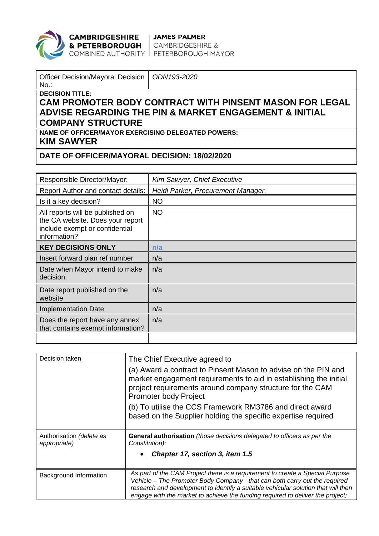

## CAMBRIDGESHIRE | JAMES PALMER

**& PETERBOROUGH** CAMBRIDGESHIRE &<br>COMBINED AUTHORITY PETERBOROUGH MAYOR

| Officer Decision/Mayoral Decision   ODN193-2020 |  |
|-------------------------------------------------|--|
|                                                 |  |

No.: **DECISION TITLE:**

## **CAM PROMOTER BODY CONTRACT WITH PINSENT MASON FOR LEGAL ADVISE REGARDING THE PIN & MARKET ENGAGEMENT & INITIAL COMPANY STRUCTURE**

**NAME OF OFFICER/MAYOR EXERCISING DELEGATED POWERS: KIM SAWYER**

## **DATE OF OFFICER/MAYORAL DECISION: 18/02/2020**

| Responsible Director/Mayor:                                                                                            | Kim Sawyer, Chief Executive        |
|------------------------------------------------------------------------------------------------------------------------|------------------------------------|
| Report Author and contact details:                                                                                     | Heidi Parker, Procurement Manager. |
| Is it a key decision?                                                                                                  | <b>NO</b>                          |
| All reports will be published on<br>the CA website. Does your report<br>include exempt or confidential<br>information? | <b>NO</b>                          |
| <b>KEY DECISIONS ONLY</b>                                                                                              | n/a                                |
| Insert forward plan ref number                                                                                         | n/a                                |
| Date when Mayor intend to make<br>decision.                                                                            | n/a                                |
| Date report published on the<br>website                                                                                | n/a                                |
| <b>Implementation Date</b>                                                                                             | n/a                                |
| Does the report have any annex<br>that contains exempt information?                                                    | n/a                                |
|                                                                                                                        |                                    |

| Decision taken                           | The Chief Executive agreed to<br>(a) Award a contract to Pinsent Mason to advise on the PIN and<br>market engagement requirements to aid in establishing the initial<br>project requirements around company structure for the CAM<br><b>Promoter body Project</b><br>(b) To utilise the CCS Framework RM3786 and direct award<br>based on the Supplier holding the specific expertise required |
|------------------------------------------|------------------------------------------------------------------------------------------------------------------------------------------------------------------------------------------------------------------------------------------------------------------------------------------------------------------------------------------------------------------------------------------------|
| Authorisation (delete as<br>appropriate) | General authorisation (those decisions delegated to officers as per the<br>Constitution):<br>Chapter 17, section 3, item 1.5                                                                                                                                                                                                                                                                   |
| Background Information                   | As part of the CAM Project there is a requirement to create a Special Purpose<br>Vehicle - The Promoter Body Company - that can both carry out the required<br>research and development to identify a suitable vehicular solution that will then<br>engage with the market to achieve the funding required to deliver the project;                                                             |